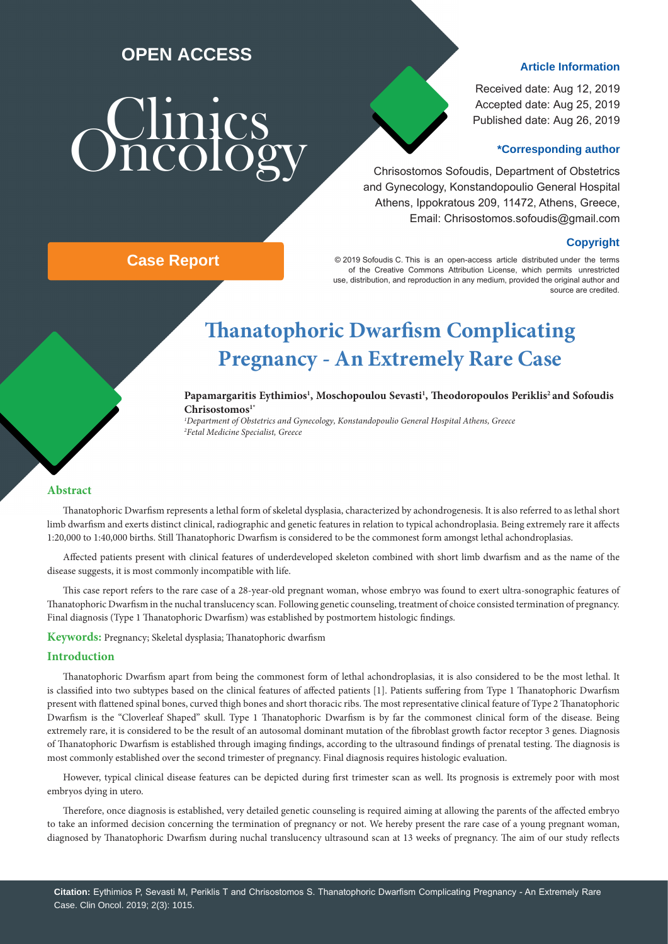## **OPEN ACCESS**

# Sunics

**Case Report**

### **Article Information**

Received date: Aug 12, 2019 Accepted date: Aug 25, 2019 Published date: Aug 26, 2019

### **\*Corresponding author**

 Chrisostomos Sofoudis, Department of Obstetrics and Gynecology, Konstandopoulio General Hospital Athens, Ippokratous 209, 11472, Athens, Greece, Email: Chrisostomos.sofoudis@gmail.com

### **Copyright**

© 2019 Sofoudis C. This is an open-access article distributed under the terms of the Creative Commons Attribution License, which permits unrestricted use, distribution, and reproduction in any medium, provided the original author and source are credited.

# **Thanatophoric Dwarfism Complicating Pregnancy - An Extremely Rare Case**

Papamargaritis Eythimios<sup>1</sup>, Moschopoulou Sevasti<sup>1</sup>, Theodoropoulos Periklis<sup>2</sup> and Sofoudis **Chrisostomos1\***

*1 Department of Obstetrics and Gynecology, Konstandopoulio General Hospital Athens, Greece 2 Fetal Medicine Specialist, Greece* 

### **Abstract**

Thanatophoric Dwarfism represents a lethal form of skeletal dysplasia, characterized by achondrogenesis. It is also referred to as lethal short limb dwarfism and exerts distinct clinical, radiographic and genetic features in relation to typical achondroplasia. Being extremely rare it affects 1:20,000 to 1:40,000 births. Still Thanatophoric Dwarfism is considered to be the commonest form amongst lethal achondroplasias.

Affected patients present with clinical features of underdeveloped skeleton combined with short limb dwarfism and as the name of the disease suggests, it is most commonly incompatible with life.

This case report refers to the rare case of a 28-year-old pregnant woman, whose embryo was found to exert ultra-sonographic features of Thanatophoric Dwarfism in the nuchal translucency scan. Following genetic counseling, treatment of choice consisted termination of pregnancy. Final diagnosis (Type 1 Thanatophoric Dwarfism) was established by postmortem histologic findings.

**Keywords:** Pregnancy; Skeletal dysplasia; Thanatophoric dwarfism

### **Introduction**

Thanatophoric Dwarfism apart from being the commonest form of lethal achondroplasias, it is also considered to be the most lethal. It is classified into two subtypes based on the clinical features of affected patients [1]. Patients suffering from Type 1 Thanatophoric Dwarfism present with flattened spinal bones, curved thigh bones and short thoracic ribs. The most representative clinical feature of Type 2 Thanatophoric Dwarfism is the "Cloverleaf Shaped" skull. Type 1 Thanatophoric Dwarfism is by far the commonest clinical form of the disease. Being extremely rare, it is considered to be the result of an autosomal dominant mutation of the fibroblast growth factor receptor 3 genes. Diagnosis of Thanatophoric Dwarfism is established through imaging findings, according to the ultrasound findings of prenatal testing. The diagnosis is most commonly established over the second trimester of pregnancy. Final diagnosis requires histologic evaluation.

However, typical clinical disease features can be depicted during first trimester scan as well. Its prognosis is extremely poor with most embryos dying in utero.

Therefore, once diagnosis is established, very detailed genetic counseling is required aiming at allowing the parents of the affected embryo to take an informed decision concerning the termination of pregnancy or not. We hereby present the rare case of a young pregnant woman, diagnosed by Thanatophoric Dwarfism during nuchal translucency ultrasound scan at 13 weeks of pregnancy. The aim of our study reflects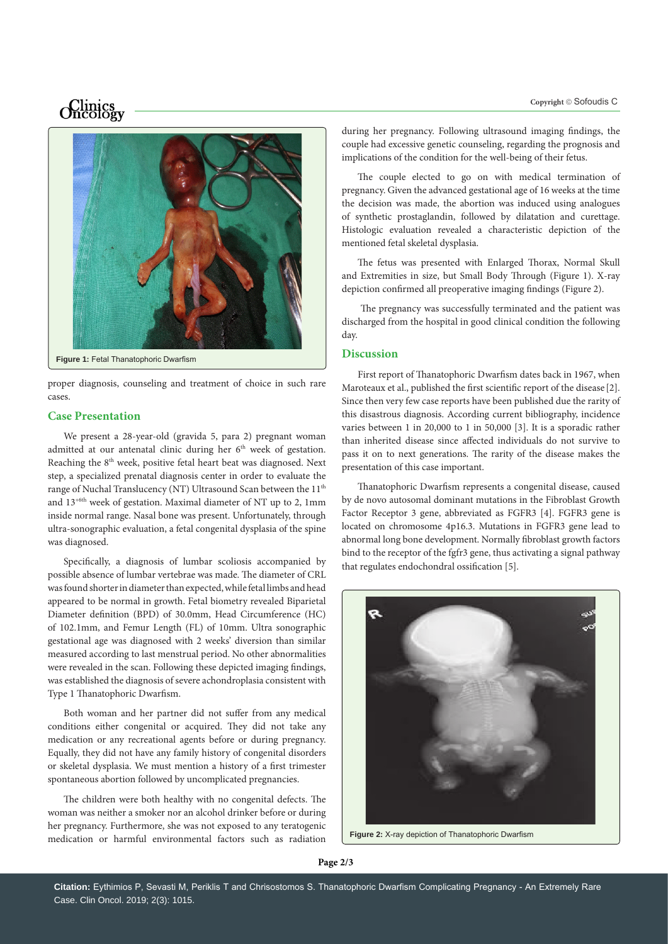# *Oncology*



proper diagnosis, counseling and treatment of choice in such rare cases.

### **Case Presentation**

We present a 28-year-old (gravida 5, para 2) pregnant woman admitted at our antenatal clinic during her  $6<sup>th</sup>$  week of gestation. Reaching the 8th week, positive fetal heart beat was diagnosed. Next step, a specialized prenatal diagnosis center in order to evaluate the range of Nuchal Translucency (NT) Ultrasound Scan between the 11<sup>th</sup> and 13+6th week of gestation. Maximal diameter of NT up to 2, 1mm inside normal range. Nasal bone was present. Unfortunately, through ultra-sonographic evaluation, a fetal congenital dysplasia of the spine was diagnosed.

Specifically, a diagnosis of lumbar scoliosis accompanied by possible absence of lumbar vertebrae was made. The diameter of CRL was found shorter in diameter than expected, while fetal limbs and head appeared to be normal in growth. Fetal biometry revealed Biparietal Diameter definition (BPD) of 30.0mm, Head Circumference (HC) of 102.1mm, and Femur Length (FL) of 10mm. Ultra sonographic gestational age was diagnosed with 2 weeks' diversion than similar measured according to last menstrual period. No other abnormalities were revealed in the scan. Following these depicted imaging findings, was established the diagnosis of severe achondroplasia consistent with Type 1 Thanatophoric Dwarfism.

Both woman and her partner did not suffer from any medical conditions either congenital or acquired. They did not take any medication or any recreational agents before or during pregnancy. Equally, they did not have any family history of congenital disorders or skeletal dysplasia. We must mention a history of a first trimester spontaneous abortion followed by uncomplicated pregnancies.

The children were both healthy with no congenital defects. The woman was neither a smoker nor an alcohol drinker before or during her pregnancy. Furthermore, she was not exposed to any teratogenic medication or harmful environmental factors such as radiation during her pregnancy. Following ultrasound imaging findings, the couple had excessive genetic counseling, regarding the prognosis and implications of the condition for the well-being of their fetus.

The couple elected to go on with medical termination of pregnancy. Given the advanced gestational age of 16 weeks at the time the decision was made, the abortion was induced using analogues of synthetic prostaglandin, followed by dilatation and curettage. Histologic evaluation revealed a characteristic depiction of the mentioned fetal skeletal dysplasia.

The fetus was presented with Enlarged Thorax, Normal Skull and Extremities in size, but Small Body Through (Figure 1). X-ray depiction confirmed all preoperative imaging findings (Figure 2).

 The pregnancy was successfully terminated and the patient was discharged from the hospital in good clinical condition the following day.

### **Discussion**

First report of Thanatophoric Dwarfism dates back in 1967, when Maroteaux et al., published the first scientific report of the disease [2]. Since then very few case reports have been published due the rarity of this disastrous diagnosis. According current bibliography, incidence varies between 1 in 20,000 to 1 in 50,000 [3]. It is a sporadic rather than inherited disease since affected individuals do not survive to pass it on to next generations. The rarity of the disease makes the presentation of this case important.

Thanatophoric Dwarfism represents a congenital disease, caused by de novo autosomal dominant mutations in the Fibroblast Growth Factor Receptor 3 gene, abbreviated as FGFR3 [4]. FGFR3 gene is located on chromosome 4p16.3. Mutations in FGFR3 gene lead to abnormal long bone development. Normally fibroblast growth factors bind to the receptor of the fgfr3 gene, thus activating a signal pathway that regulates endochondral ossification [5].



**Figure 2:** X-ray depiction of Thanatophoric Dwarfism